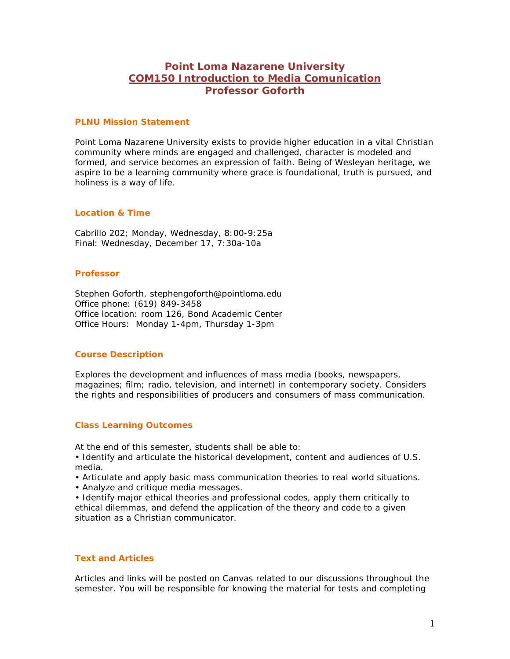# **Point Loma Nazarene University COM150 Introduction to Media Comunication Professor Goforth**

#### **PLNU Mission Statement**

Point Loma Nazarene University exists to provide higher education in a vital Christian community where minds are engaged and challenged, character is modeled and formed, and service becomes an expression of faith. Being of Wesleyan heritage, we aspire to be a learning community where grace is foundational, truth is pursued, and holiness is a way of life.

#### **Location & Time**

Cabrillo 202; Monday, Wednesday, 8:00-9:25a Final: Wednesday, December 17, 7:30a-10a

#### **Professor**

Stephen Goforth, stephengoforth@pointloma.edu Office phone: (619) 849-3458 Office location: room 126, Bond Academic Center Office Hours: Monday 1-4pm, Thursday 1-3pm

## **Course Description**

Explores the development and influences of mass media (books, newspapers, magazines; film; radio, television, and internet) in contemporary society. Considers the rights and responsibilities of producers and consumers of mass communication.

## **Class Learning Outcomes**

At the end of this semester, students shall be able to:

- Identify and articulate the historical development, content and audiences of U.S. media.
- Articulate and apply basic mass communication theories to real world situations.
- Analyze and critique media messages.

• Identify major ethical theories and professional codes, apply them critically to ethical dilemmas, and defend the application of the theory and code to a given situation as a Christian communicator.

## **Text and Articles**

Articles and links will be posted on Canvas related to our discussions throughout the semester. You will be responsible for knowing the material for tests and completing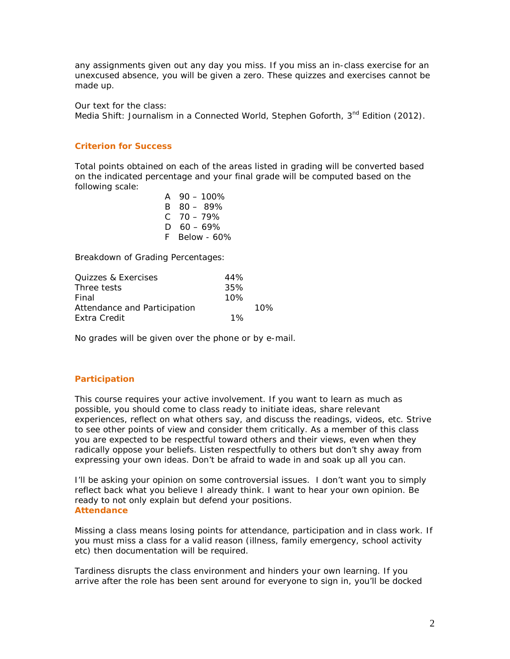any assignments given out any day you miss. If you miss an in-class exercise for an unexcused absence, you will be given a zero. These quizzes and exercises cannot be made up.

Our text for the class: *Media Shift: Journalism in a Connected World*, Stephen Goforth, 3<sup>nd</sup> Edition (2012).

## **Criterion for Success**

Total points obtained on each of the areas listed in grading will be converted based on the indicated percentage and your final grade will be computed based on the following scale:

> $A \quad 90 - 100\%$ B 80 – 89%  $C$  70 – 79%  $D \quad 60 - 69\%$ F Below - 60%

Breakdown of Grading Percentages:

| 44%   |     |
|-------|-----|
| 35%   |     |
| 10%   |     |
|       | 10% |
| $1\%$ |     |
|       |     |

No grades will be given over the phone or by e-mail.

## **Participation**

This course requires your active involvement. If you want to learn as much as possible, you should come to class ready to initiate ideas, share relevant experiences, reflect on what others say, and discuss the readings, videos, etc. Strive to see other points of view and consider them critically. As a member of this class you are expected to be respectful toward others and their views, even when they radically oppose your beliefs. Listen respectfully to others but don't shy away from expressing your own ideas. Don't be afraid to wade in and soak up all you can.

I'll be asking your opinion on some controversial issues. I don't want you to simply reflect back what you believe I already think. I want to hear your own opinion. Be ready to not only explain but defend your positions. **Attendance**

Missing a class means losing points for attendance, participation and in class work. If you must miss a class for a valid reason (illness, family emergency, school activity etc) then documentation will be required.

Tardiness disrupts the class environment and hinders your own learning. If you arrive after the role has been sent around for everyone to sign in, you'll be docked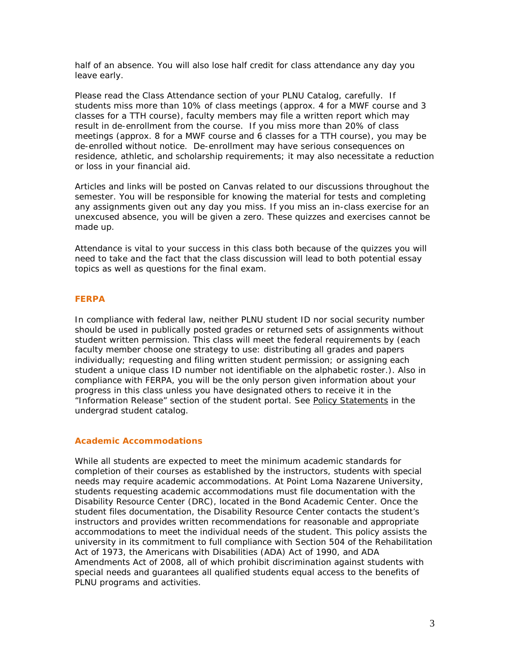half of an absence. You will also lose half credit for class attendance any day you leave early.

Please read the Class Attendance section of your PLNU Catalog, carefully. If students miss more than 10% of class meetings (approx. 4 for a MWF course and 3 classes for a TTH course), faculty members may file a written report which may result in de-enrollment from the course. If you miss more than 20% of class meetings (approx. 8 for a MWF course and 6 classes for a TTH course), you may be de-enrolled without notice. De-enrollment may have serious consequences on residence, athletic, and scholarship requirements; it may also necessitate a reduction or loss in your financial aid.

Articles and links will be posted on Canvas related to our discussions throughout the semester. You will be responsible for knowing the material for tests and completing any assignments given out any day you miss. If you miss an in-class exercise for an unexcused absence, you will be given a zero. These quizzes and exercises cannot be made up.

Attendance is vital to your success in this class both because of the quizzes you will need to take and the fact that the class discussion will lead to both potential essay topics as well as questions for the final exam.

#### **FERPA**

In compliance with federal law, neither PLNU student ID nor social security number should be used in publically posted grades or returned sets of assignments without student written permission. This class will meet the federal requirements by (each faculty member choose one strategy to use: distributing all grades and papers individually; requesting and filing written student permission; or assigning each student a unique class ID number not identifiable on the alphabetic roster.). Also in compliance with FERPA, you will be the only person given information about your progress in this class unless you have designated others to receive it in the "Information Release" section of the student portal. See [Policy Statements](http://www.pointloma.edu/experience/academics/catalogs/undergraduate-catalog/policy-statements) in the undergrad student catalog.

#### **Academic Accommodations**

While all students are expected to meet the minimum academic standards for completion of their courses as established by the instructors, students with special needs may require academic accommodations. At Point Loma Nazarene University, students requesting academic accommodations must file documentation with the Disability Resource Center (DRC), located in the Bond Academic Center. Once the student files documentation, the Disability Resource Center contacts the student's instructors and provides written recommendations for reasonable and appropriate accommodations to meet the individual needs of the student. This policy assists the university in its commitment to full compliance with Section 504 of the Rehabilitation Act of 1973, the Americans with Disabilities (ADA) Act of 1990, and ADA Amendments Act of 2008, all of which prohibit discrimination against students with special needs and guarantees all qualified students equal access to the benefits of PLNU programs and activities.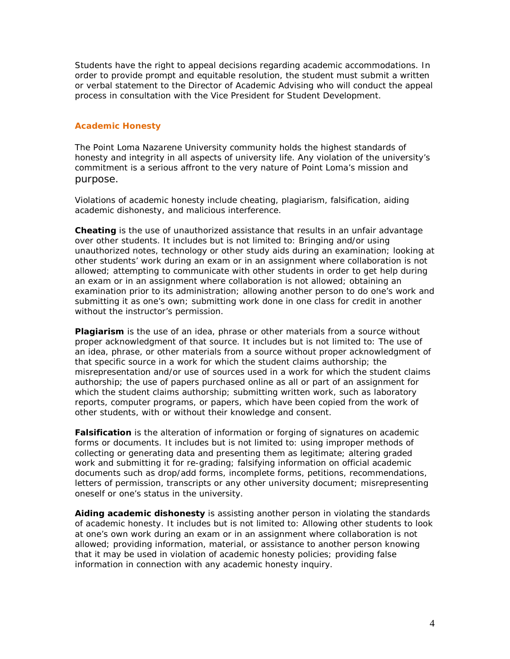Students have the right to appeal decisions regarding academic accommodations. In order to provide prompt and equitable resolution, the student must submit a written or verbal statement to the Director of Academic Advising who will conduct the appeal process in consultation with the Vice President for Student Development.

### **Academic Honesty**

The Point Loma Nazarene University community holds the highest standards of honesty and integrity in all aspects of university life. Any violation of the university's commitment is a serious affront to the very nature of Point Loma's mission and purpose.

Violations of academic honesty include cheating, plagiarism, falsification, aiding academic dishonesty, and malicious interference.

**Cheating** is the use of unauthorized assistance that results in an unfair advantage over other students. It includes but is not limited to: Bringing and/or using unauthorized notes, technology or other study aids during an examination; looking at other students' work during an exam or in an assignment where collaboration is not allowed; attempting to communicate with other students in order to get help during an exam or in an assignment where collaboration is not allowed; obtaining an examination prior to its administration; allowing another person to do one's work and submitting it as one's own; submitting work done in one class for credit in another without the instructor's permission.

**Plagiarism** is the use of an idea, phrase or other materials from a source without proper acknowledgment of that source. It includes but is not limited to: The use of an idea, phrase, or other materials from a source without proper acknowledgment of that specific source in a work for which the student claims authorship; the misrepresentation and/or use of sources used in a work for which the student claims authorship; the use of papers purchased online as all or part of an assignment for which the student claims authorship; submitting written work, such as laboratory reports, computer programs, or papers, which have been copied from the work of other students, with or without their knowledge and consent.

**Falsification** is the alteration of information or forging of signatures on academic forms or documents. It includes but is not limited to: using improper methods of collecting or generating data and presenting them as legitimate; altering graded work and submitting it for re-grading; falsifying information on official academic documents such as drop/add forms, incomplete forms, petitions, recommendations, letters of permission, transcripts or any other university document; misrepresenting oneself or one's status in the university.

**Aiding academic dishonesty** is assisting another person in violating the standards of academic honesty. It includes but is not limited to: Allowing other students to look at one's own work during an exam or in an assignment where collaboration is not allowed; providing information, material, or assistance to another person knowing that it may be used in violation of academic honesty policies; providing false information in connection with any academic honesty inquiry.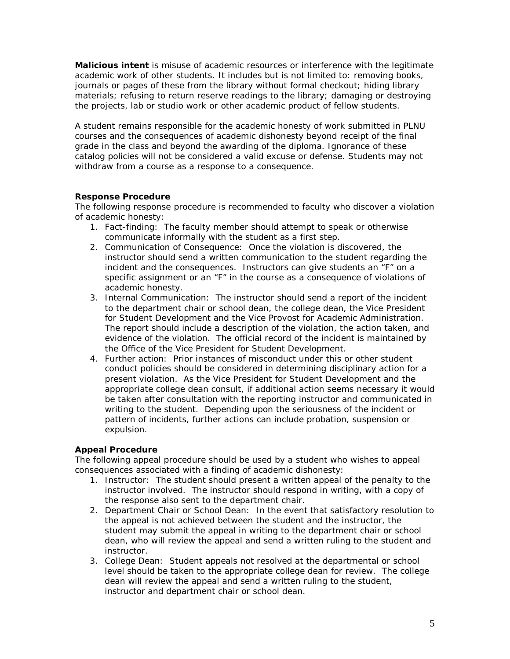**Malicious intent** is misuse of academic resources or interference with the legitimate academic work of other students. It includes but is not limited to: removing books, journals or pages of these from the library without formal checkout; hiding library materials; refusing to return reserve readings to the library; damaging or destroying the projects, lab or studio work or other academic product of fellow students.

A student remains responsible for the academic honesty of work submitted in PLNU courses and the consequences of academic dishonesty beyond receipt of the final grade in the class and beyond the awarding of the diploma. Ignorance of these catalog policies will not be considered a valid excuse or defense. Students may not withdraw from a course as a response to a consequence.

## **Response Procedure**

The following response procedure is recommended to faculty who discover a violation of academic honesty:

- 1. Fact-finding: The faculty member should attempt to speak or otherwise communicate informally with the student as a first step.
- 2. Communication of Consequence: Once the violation is discovered, the instructor should send a written communication to the student regarding the incident and the consequences. Instructors can give students an "F" on a specific assignment or an "F" in the course as a consequence of violations of academic honesty.
- 3. Internal Communication: The instructor should send a report of the incident to the department chair or school dean, the college dean, the Vice President for Student Development and the Vice Provost for Academic Administration. The report should include a description of the violation, the action taken, and evidence of the violation. The official record of the incident is maintained by the Office of the Vice President for Student Development.
- 4. Further action: Prior instances of misconduct under this or other student conduct policies should be considered in determining disciplinary action for a present violation. As the Vice President for Student Development and the appropriate college dean consult, if additional action seems necessary it would be taken after consultation with the reporting instructor and communicated in writing to the student. Depending upon the seriousness of the incident or pattern of incidents, further actions can include probation, suspension or expulsion.

## **Appeal Procedure**

The following appeal procedure should be used by a student who wishes to appeal consequences associated with a finding of academic dishonesty:

- 1. Instructor: The student should present a written appeal of the penalty to the instructor involved. The instructor should respond in writing, with a copy of the response also sent to the department chair.
- 2. Department Chair or School Dean: In the event that satisfactory resolution to the appeal is not achieved between the student and the instructor, the student may submit the appeal in writing to the department chair or school dean, who will review the appeal and send a written ruling to the student and instructor.
- 3. College Dean: Student appeals not resolved at the departmental or school level should be taken to the appropriate college dean for review. The college dean will review the appeal and send a written ruling to the student, instructor and department chair or school dean.